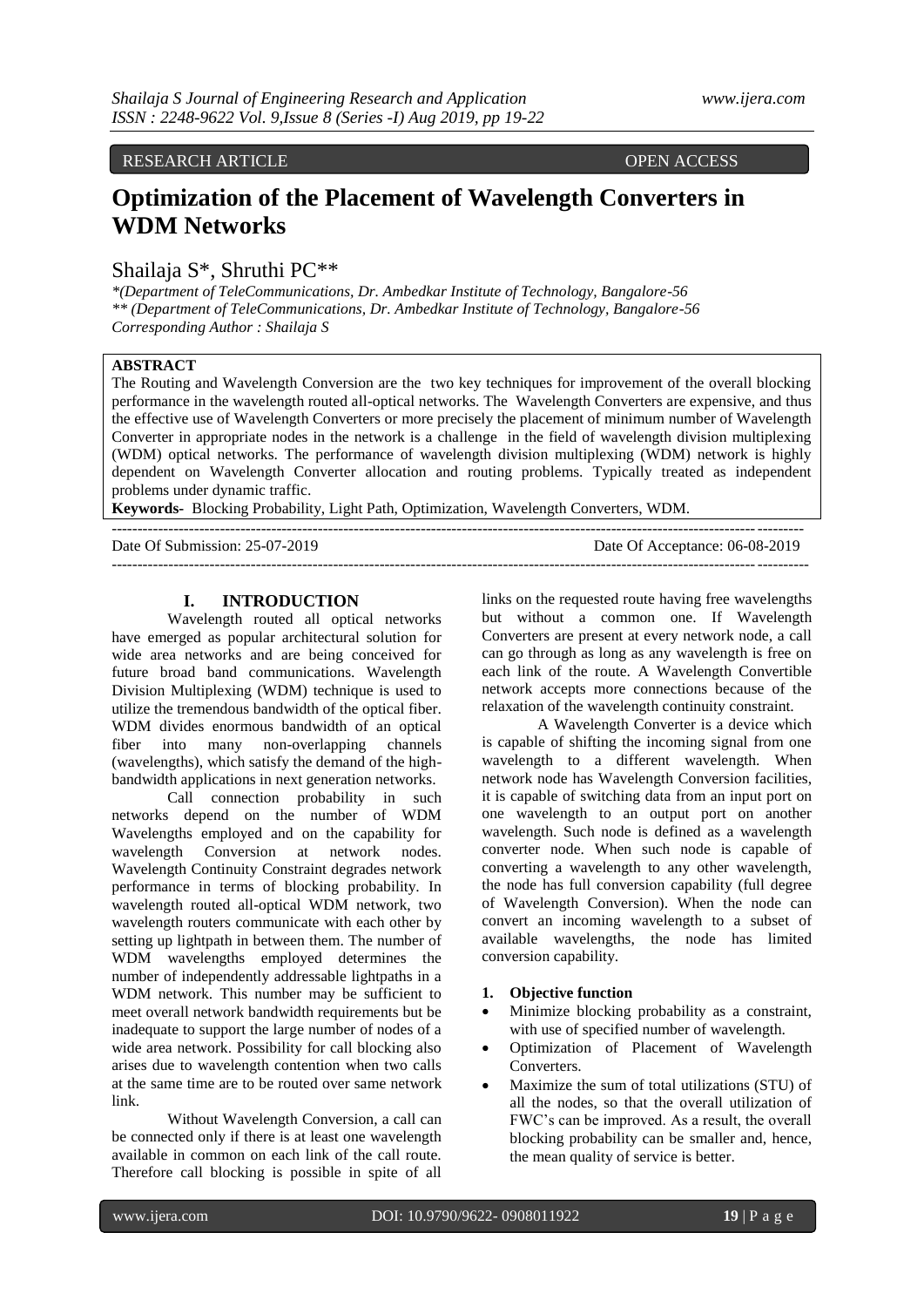# RESEARCH ARTICLE OPEN ACCESS

# **Optimization of the Placement of Wavelength Converters in WDM Networks**

# Shailaja S\*, Shruthi PC\*\*

*\*(Department of TeleCommunications, Dr. Ambedkar Institute of Technology, Bangalore-56 \*\* (Department of TeleCommunications, Dr. Ambedkar Institute of Technology, Bangalore-56 Corresponding Author : Shailaja S*

# **ABSTRACT**

The Routing and Wavelength Conversion are the two key techniques for improvement of the overall blocking performance in the wavelength routed all-optical networks. The Wavelength Converters are expensive, and thus the effective use of Wavelength Converters or more precisely the placement of minimum number of Wavelength Converter in appropriate nodes in the network is a challenge in the field of wavelength division multiplexing (WDM) optical networks. The performance of wavelength division multiplexing (WDM) network is highly dependent on Wavelength Converter allocation and routing problems. Typically treated as independent problems under dynamic traffic.

**Keywords-** Blocking Probability, Light Path, Optimization, Wavelength Converters, WDM.

--------------------------------------------------------------------------------------------------------------------------------------

Date Of Submission: 25-07-2019 Date Of Acceptance: 06-08-2019 ---------------------------------------------------------------------------------------------------------------------------------------

#### **I. INTRODUCTION**

Wavelength routed all optical networks have emerged as popular architectural solution for wide area networks and are being conceived for future broad band communications. Wavelength Division Multiplexing (WDM) technique is used to utilize the tremendous bandwidth of the optical fiber. WDM divides enormous bandwidth of an optical fiber into many non-overlapping channels (wavelengths), which satisfy the demand of the highbandwidth applications in next generation networks.

Call connection probability in such networks depend on the number of WDM Wavelengths employed and on the capability for wavelength Conversion at network nodes. Wavelength Continuity Constraint degrades network performance in terms of blocking probability. In wavelength routed all-optical WDM network, two wavelength routers communicate with each other by setting up lightpath in between them. The number of WDM wavelengths employed determines the number of independently addressable lightpaths in a WDM network. This number may be sufficient to meet overall network bandwidth requirements but be inadequate to support the large number of nodes of a wide area network. Possibility for call blocking also arises due to wavelength contention when two calls at the same time are to be routed over same network link.

Without Wavelength Conversion, a call can be connected only if there is at least one wavelength available in common on each link of the call route. Therefore call blocking is possible in spite of all

links on the requested route having free wavelengths but without a common one. If Wavelength Converters are present at every network node, a call can go through as long as any wavelength is free on each link of the route. A Wavelength Convertible network accepts more connections because of the relaxation of the wavelength continuity constraint.

A Wavelength Converter is a device which is capable of shifting the incoming signal from one wavelength to a different wavelength. When network node has Wavelength Conversion facilities, it is capable of switching data from an input port on one wavelength to an output port on another wavelength. Such node is defined as a wavelength converter node. When such node is capable of converting a wavelength to any other wavelength, the node has full conversion capability (full degree of Wavelength Conversion). When the node can convert an incoming wavelength to a subset of available wavelengths, the node has limited conversion capability.

#### **1. Objective function**

- Minimize blocking probability as a constraint, with use of specified number of wavelength.
- Optimization of Placement of Wavelength **Converters**
- Maximize the sum of total utilizations (STU) of all the nodes, so that the overall utilization of FWC's can be improved. As a result, the overall blocking probability can be smaller and, hence, the mean quality of service is better.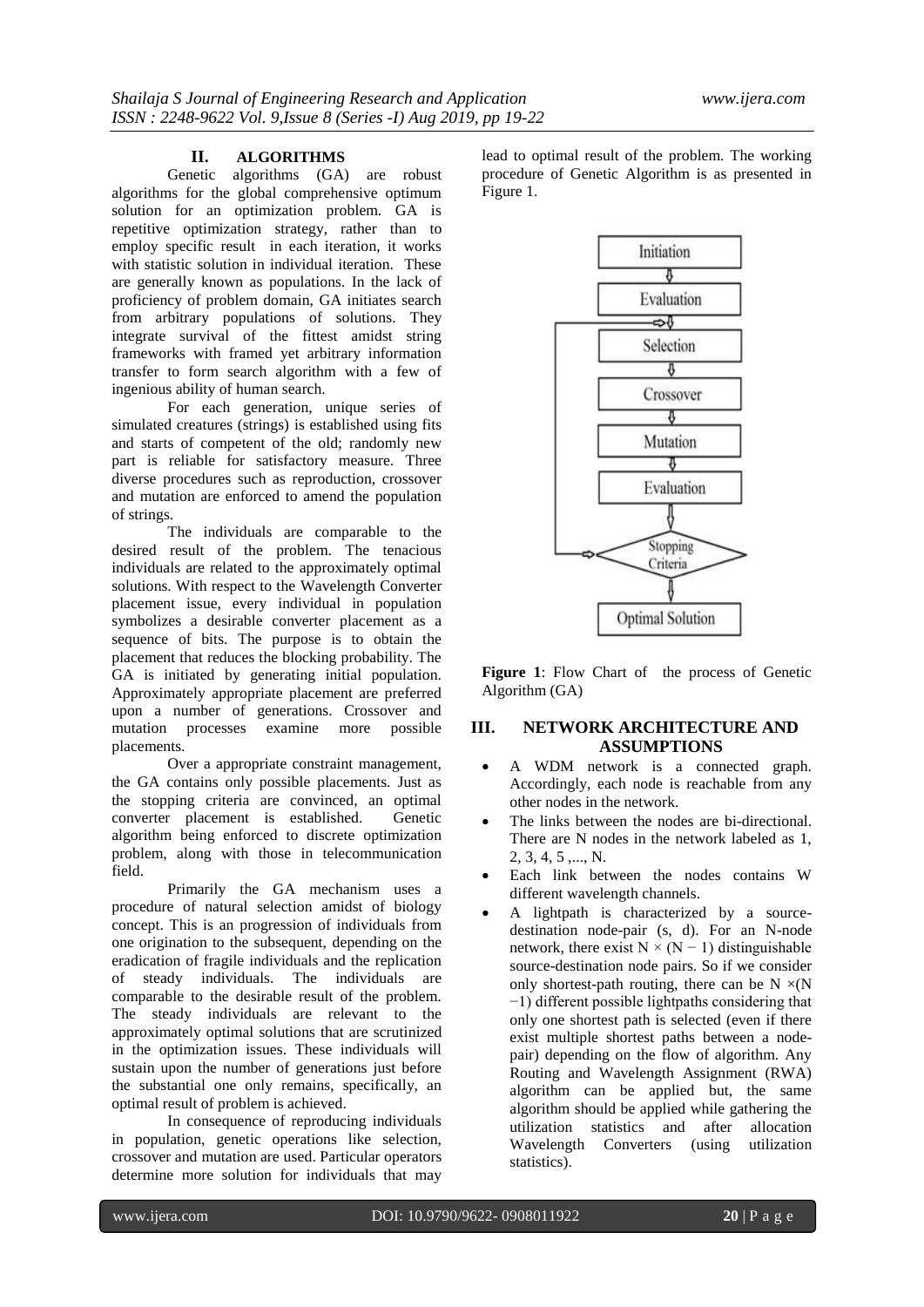## **II. ALGORITHMS**

Genetic algorithms (GA) are robust algorithms for the global comprehensive optimum solution for an optimization problem. GA is repetitive optimization strategy, rather than to employ specific result in each iteration, it works with statistic solution in individual iteration. These are generally known as populations. In the lack of proficiency of problem domain, GA initiates search from arbitrary populations of solutions. They integrate survival of the fittest amidst string frameworks with framed yet arbitrary information transfer to form search algorithm with a few of ingenious ability of human search.

For each generation, unique series of simulated creatures (strings) is established using fits and starts of competent of the old; randomly new part is reliable for satisfactory measure. Three diverse procedures such as reproduction, crossover and mutation are enforced to amend the population of strings.

The individuals are comparable to the desired result of the problem. The tenacious individuals are related to the approximately optimal solutions. With respect to the Wavelength Converter placement issue, every individual in population symbolizes a desirable converter placement as a sequence of bits. The purpose is to obtain the placement that reduces the blocking probability. The GA is initiated by generating initial population. Approximately appropriate placement are preferred upon a number of generations. Crossover and mutation processes examine more possible placements.

Over a appropriate constraint management, the GA contains only possible placements. Just as the stopping criteria are convinced, an optimal converter placement is established. Genetic algorithm being enforced to discrete optimization problem, along with those in telecommunication field.

Primarily the GA mechanism uses a procedure of natural selection amidst of biology concept. This is an progression of individuals from one origination to the subsequent, depending on the eradication of fragile individuals and the replication of steady individuals. The individuals are comparable to the desirable result of the problem. The steady individuals are relevant to the approximately optimal solutions that are scrutinized in the optimization issues. These individuals will sustain upon the number of generations just before the substantial one only remains, specifically, an optimal result of problem is achieved.

In consequence of reproducing individuals in population, genetic operations like selection, crossover and mutation are used. Particular operators determine more solution for individuals that may

lead to optimal result of the problem. The working procedure of Genetic Algorithm is as presented in Figure 1.



**Figure 1**: Flow Chart of the process of Genetic Algorithm (GA)

## **III. NETWORK ARCHITECTURE AND ASSUMPTIONS**

- A WDM network is a connected graph. Accordingly, each node is reachable from any other nodes in the network.
- The links between the nodes are bi-directional. There are N nodes in the network labeled as 1, 2, 3, 4, 5 ,..., N.
- Each link between the nodes contains W different wavelength channels.
- A lightpath is characterized by a sourcedestination node-pair (s, d). For an N-node network, there exist  $N \times (N - 1)$  distinguishable source-destination node pairs. So if we consider only shortest-path routing, there can be  $N \times (N)$ −1) different possible lightpaths considering that only one shortest path is selected (even if there exist multiple shortest paths between a nodepair) depending on the flow of algorithm. Any Routing and Wavelength Assignment (RWA) algorithm can be applied but, the same algorithm should be applied while gathering the utilization statistics and after allocation Wavelength Converters (using utilization statistics).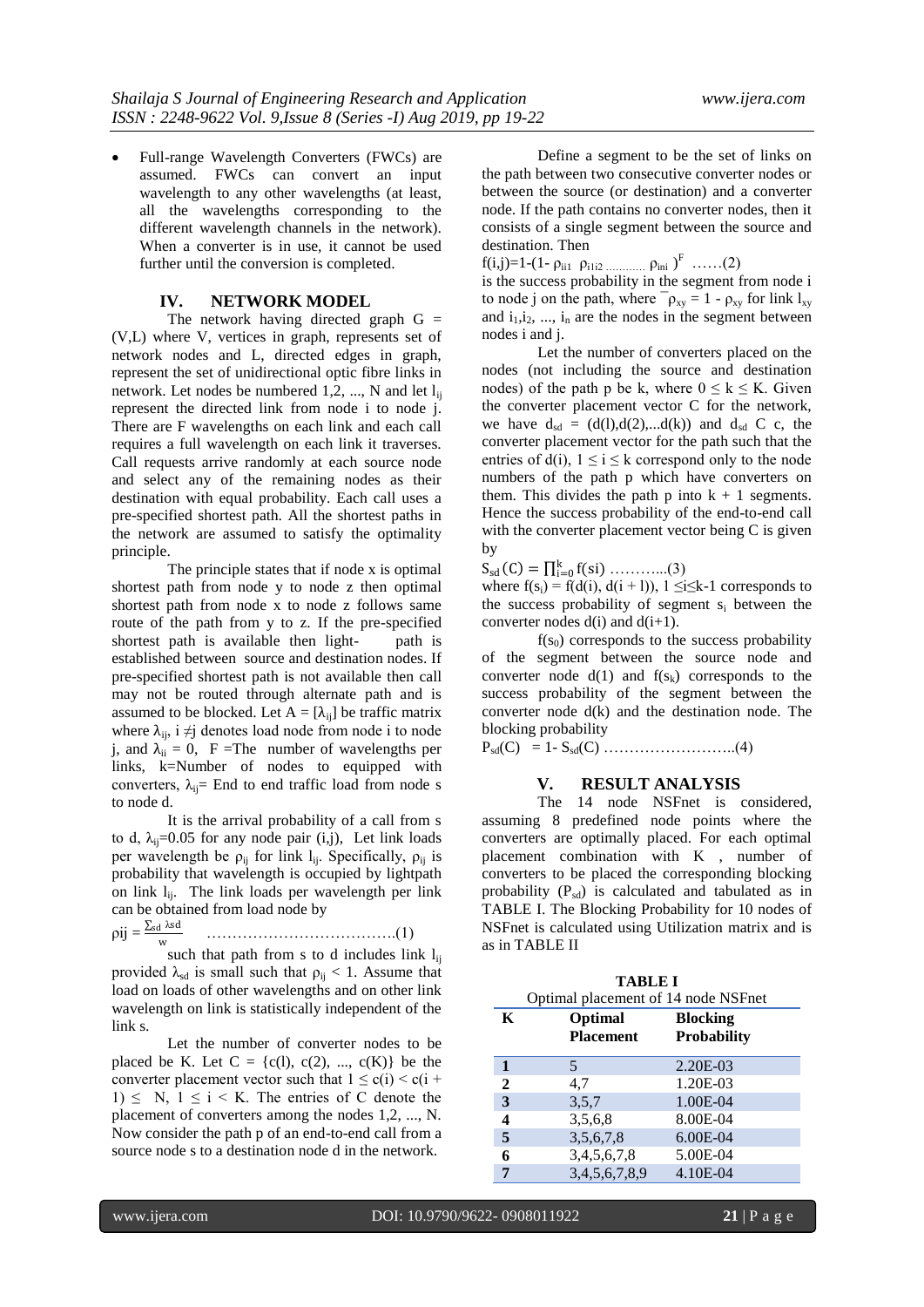Full-range Wavelength Converters (FWCs) are assumed. FWCs can convert an input wavelength to any other wavelengths (at least, all the wavelengths corresponding to the different wavelength channels in the network). When a converter is in use, it cannot be used further until the conversion is completed.

## **IV. NETWORK MODEL**

The network having directed graph  $G =$ (V,L) where V, vertices in graph, represents set of network nodes and L, directed edges in graph, represent the set of unidirectional optic fibre links in network. Let nodes be numbered  $1, 2, ..., N$  and let  $l_{ii}$ represent the directed link from node i to node j. There are F wavelengths on each link and each call requires a full wavelength on each link it traverses. Call requests arrive randomly at each source node and select any of the remaining nodes as their destination with equal probability. Each call uses a pre-specified shortest path. All the shortest paths in the network are assumed to satisfy the optimality principle.

The principle states that if node x is optimal shortest path from node y to node z then optimal shortest path from node x to node z follows same route of the path from y to z. If the pre-specified shortest path is available then light- path is established between source and destination nodes. If pre-specified shortest path is not available then call may not be routed through alternate path and is assumed to be blocked. Let  $A = [\lambda_{ij}]$  be traffic matrix where  $\lambda_{ii}$ , i  $\neq j$  denotes load node from node i to node j, and  $\lambda_{ii} = 0$ , F = The number of wavelengths per links, k=Number of nodes to equipped with converters,  $\lambda_{ij}$ = End to end traffic load from node s to node d.

It is the arrival probability of a call from s to d,  $\lambda_{ii} = 0.05$  for any node pair (i,j), Let link loads per wavelength be  $\rho_{ij}$  for link l<sub>ij</sub>. Specifically,  $\rho_{ij}$  is probability that wavelength is occupied by lightpath on link  $l_{ii}$ . The link loads per wavelength per link can be obtained from load node by

 $pi$ j =  $\frac{\sum_{sd} \lambda sd}{\sum_{sd} \lambda sd}$ w ……………………………….(1)

such that path from s to d includes link  $l_{ii}$ provided  $\lambda_{sd}$  is small such that  $\rho_{ij} < 1$ . Assume that load on loads of other wavelengths and on other link wavelength on link is statistically independent of the link s.

Let the number of converter nodes to be placed be K. Let  $C = \{c(1), c(2), ..., c(K)\}\)$  be the converter placement vector such that  $1 \le c(i) \le c(i +$ 1)  $\leq$  N, 1  $\leq$  i  $\leq$  K. The entries of C denote the placement of converters among the nodes 1,2, ..., N. Now consider the path p of an end-to-end call from a source node s to a destination node d in the network.

Define a segment to be the set of links on the path between two consecutive converter nodes or between the source (or destination) and a converter node. If the path contains no converter nodes, then it consists of a single segment between the source and destination. Then

f(i,j)=1-(1-  $\rho_{\text{ii1}}$   $\rho_{\text{iii2}}$  …………  $\rho_{\text{ini}}$  )<sup>F</sup> ……(2)

is the success probability in the segment from node i to node j on the path, where  $\bar{\rho}_{xy} = 1 - \rho_{xy}$  for link  $l_{xy}$ and  $i_1, i_2, \ldots, i_n$  are the nodes in the segment between nodes i and j.

Let the number of converters placed on the nodes (not including the source and destination nodes) of the path p be k, where  $0 \le k \le K$ . Given the converter placement vector C for the network, we have  $d_{sd} = (d(1), d(2), \ldots, d(k))$  and  $d_{sd}$  C c, the converter placement vector for the path such that the entries of d(i),  $1 \le i \le k$  correspond only to the node numbers of the path p which have converters on them. This divides the path  $p$  into  $k + 1$  segments. Hence the success probability of the end-to-end call with the converter placement vector being C is given by

 $S_{sd}(C) = \prod_{i=0}^{k} f(s_i) \dots (3)$ 

where  $f(s_i) = f(d(i), d(i + 1)), 1 \le i \le k-1$  corresponds to the success probability of segment  $s_i$  between the converter nodes  $d(i)$  and  $d(i+1)$ .

 $f(s_0)$  corresponds to the success probability of the segment between the source node and converter node  $d(1)$  and  $f(s_k)$  corresponds to the success probability of the segment between the converter node d(k) and the destination node. The blocking probability

 $P_{sd}(C) = 1-S_{sd}(C)$  ………………………...(4)

### **V. RESULT ANALYSIS**

The 14 node NSFnet is considered, assuming 8 predefined node points where the converters are optimally placed. For each optimal placement combination with K , number of converters to be placed the corresponding blocking probability  $(P_{sd})$  is calculated and tabulated as in TABLE I. The Blocking Probability for 10 nodes of NSFnet is calculated using Utilization matrix and is as in TABLE II

| <b>TABLE I</b> |                                     |                    |
|----------------|-------------------------------------|--------------------|
|                | Optimal placement of 14 node NSFnet |                    |
| K              | Optimal                             | <b>Blocking</b>    |
|                | <b>Placement</b>                    | <b>Probability</b> |
| 1              | 5                                   | $2.20E-03$         |
| $\mathbf{2}$   | 4.7                                 | 1.20E-03           |
| 3              | 3.5.7                               | 1.00E-04           |
| 4              | 3,5,6,8                             | 8.00E-04           |
| 5              | 3,5,6,7,8                           | $6.00E-04$         |
| 6              | 3,4,5,6,7,8                         | 5.00E-04           |
| 7              | 3,4,5,6,7,8,9                       | 4.10E-04           |